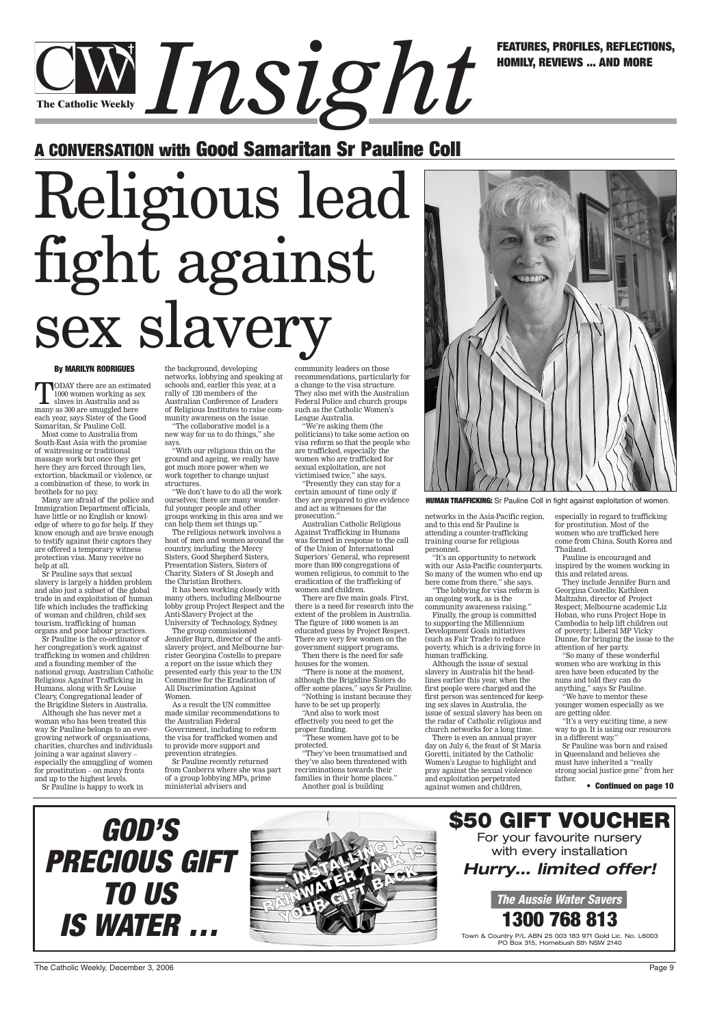#### **By MARILYN RODRIGUES**

TODAY there are an estimated 1000 women working as sex slaves in Australia and as many as 300 are smuggled here each year, says Sister of the Good Samaritan, Sr Pauline Coll.

Most come to Australia from South-East Asia with the promise of waitressing or traditional massage work but once they get here they are forced through lies, extortion, blackmail or violence, or a combination of these, to work in brothels for no pay.

Many are afraid of the police and Immigration Department officials, have little or no English or knowledge of where to go for help. If they know enough and are brave enough to testify against their captors they are offered a temporary witness protection visa. Many receive no help at all.

Sr Pauline says that sexual slavery is largely a hidden problem and also just a subset of the global trade in and exploitation of human life which includes the trafficking of woman and children, child sex tourism, trafficking of human organs and poor labour practices.

"We don't have to do all the work ourselves; there are many wonderful younger people and other groups working in this area and we can help them set things up."

Sr Pauline is the co-ordinator of her congregation's work against trafficking in women and children and a founding member of the national group, Australian Catholic Religious Against Trafficking in Humans, along with Sr Louise Cleary, Congregational leader of the Brigidine Sisters in Australia.

Although she has never met a woman who has been treated this way Sr Pauline belongs to an evergrowing network of organisations, charities, churches and individuals joining a war against slavery – especially the smuggling of women for prostitution – on many fronts

and up to the highest levels. Sr Pauline is happy to work in the background, developing networks, lobbying and speaking at schools and, earlier this year, at a rally of 120 members of the Australian Conference of Leaders of Religious Institutes to raise community awareness on the issue.

"The collaborative model is a new way for us to do things," she says.

"With our religious thin on the ground and ageing, we really have got much more power when we work together to change unjust structures.

The religious network involves a host of men and women around the country, including the Mercy Sisters, Good Shepherd Sisters, Presentation Sisters, Sisters of Charity, Sisters of St Joseph and the Christian Brothers.

> families in their home places." Another goal is building

It has been working closely with many others, including Melbourne lobby group Project Respect and the Anti-Slavery Project at the University of Technology, Sydney.

The group commissioned Jennifer Burn, director of the antislavery project, and Melbourne barrister Georgina Costello to prepare a report on the issue which they presented early this year to the UN Committee for the Eradication of All Discrimination Against Women.

As a result the UN committee made similar recommendations to the Australian Federal Government, including to reform the visa for trafficked women and to provide more support and prevention strategies.

Sr Pauline recently returned from Canberra where she was part of a group lobbying MPs, prime ministerial advisers and

community leaders on those recommendations, particularly for a change to the visa structure. They also met with the Australian Federal Police and church groups such as the Catholic Women's League Australia.

> Sr Pauline was born and raised in Queensland and believes she must have inherited a "really strong social justice gene" from her father

## *Instrues, Profiles, Reflections,* **The Catholic Weekly**

"We're asking them (the politicians) to take some action on visa reform so that the people who are trafficked, especially the women who are trafficked for sexual exploitation, are not victimised twice," she says.

"Presently they can stay for a certain amount of time only if they are prepared to give evidence and act as witnesses for the prosecution."

Australian Catholic Religious Against Trafficking in Humans was formed in response to the call of the Union of International Superiors' General, who represent more than 800 congregations of women religious, to commit to the eradication of the trafficking of women and children.

There are five main goals. First, there is a need for research into the extent of the problem in Australia. The figure of 1000 women is an educated guess by Project Respect. There are very few women on the government support programs. Then there is the need for safe

houses for the women.

"There is none at the moment, although the Brigidine Sisters do offer some places," says Sr Pauline. "Nothing is instant because they

have to be set up properly.

"And also to work most effectively you need to get the proper funding.

"These women have got to be

protected.

"They've been traumatised and they've also been threatened with recriminations towards their



**HUMAN TRAFFICKING:** Sr Pauline Coll in fight against exploitation of women.

networks in the Asia-Pacific region, and to this end Sr Pauline is attending a counter-trafficking training course for religious personnel.

"It's an opportunity to network with our Asia-Pacific counterparts. So many of the women who end up here come from there," she says. "The lobbying for visa reform is

an ongoing work, as is the community awareness raising."

Finally, the group is committed to supporting the Millennium Development Goals initiatives (such as Fair Trade) to reduce poverty, which is a driving force in human trafficking.

Although the issue of sexual slavery in Australia hit the headlines earlier this year, when the first people were charged and the first person was sentenced for keeping sex slaves in Australia, the issue of sexual slavery has been on the radar of Catholic religious and church networks for a long time.

There is even an annual prayer day on July 6, the feast of St Maria Goretti, initiated by the Catholic Women's League to highlight and pray against the sexual violence

and exploitation perpetrated against women and children, especially in regard to trafficking for prostitution. Most of the women who are trafficked here come from China, South Korea and Thailand.

Pauline is encouraged and inspired by the women working in this and related areas.

They include Jennifer Burn and Georgina Costello; Kathleen Maltzahn, director of Project Respect; Melbourne academic Liz Hoban, who runs Project Hope in Cambodia to help lift children out of poverty; Liberal MP Vicky Dunne, for bringing the issue to the attention of her party.

"So many of these wonderful women who are working in this area have been educated by the nuns and told they can do anything," says Sr Pauline.

"We have to mentor these younger women especially as we are getting older.

"It's a very exciting time, a new way to go. It is using our resources in a different way."

**HOMILY, REVIEWS ... AND MORE**

## **A CONVERSATION with Good Samaritan Sr Pauline Coll**

# Religious lead fight against sex slavery

**• Continued on page 10**



The Catholic Weekly, December 3, 2006 Page 9